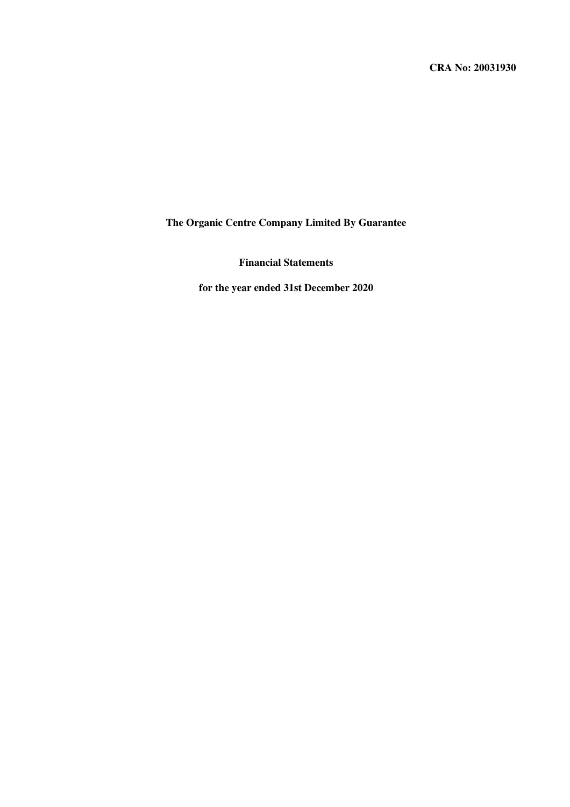**CRA No: 20031930**

**The Organic Centre Company Limited By Guarantee**

**Financial Statements**

**for the year ended 31st December 2020**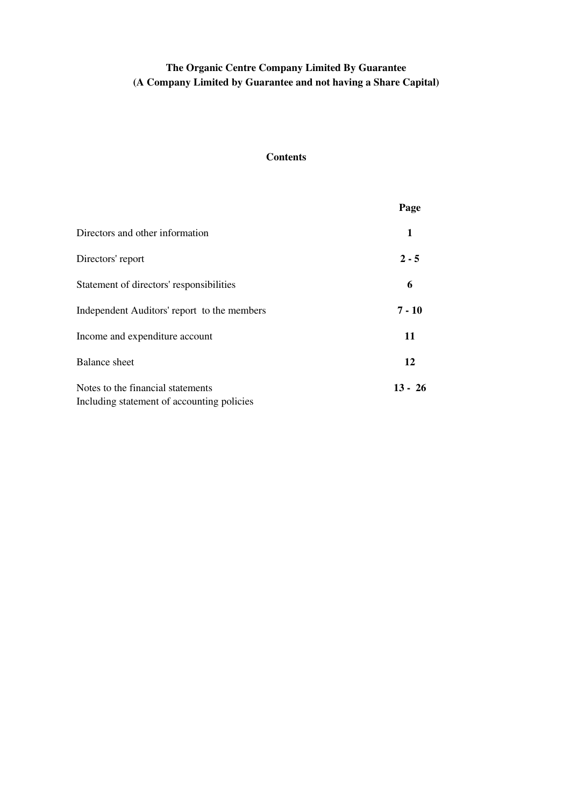# **The Organic Centre Company Limited By Guarantee (A Company Limited by Guarantee and not having a Share Capital)**

## **Contents**

|                                             | Page      |
|---------------------------------------------|-----------|
| Directors and other information             | 1         |
| Directors' report                           | $2 - 5$   |
| Statement of directors' responsibilities    | 6         |
| Independent Auditors' report to the members | $7 - 10$  |
| Income and expenditure account              | 11        |
| <b>Balance</b> sheet                        | 12        |
| Notes to the financial statements           | $13 - 26$ |
| Including statement of accounting policies  |           |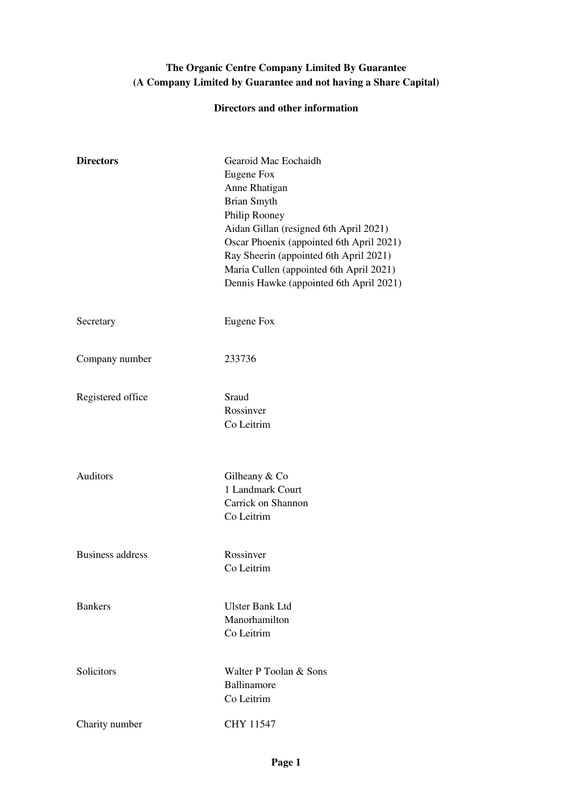# **The Organic Centre Company Limited By Guarantee (A Company Limited by Guarantee and not having a Share Capital)**

## **Directors and other information**

| <b>Directors</b>        | Gearoid Mac Eochaidh<br>Eugene Fox<br>Anne Rhatigan<br><b>Brian Smyth</b><br>Philip Rooney<br>Aidan Gillan (resigned 6th April 2021)<br>Oscar Phoenix (appointed 6th April 2021)<br>Ray Sheerin (appointed 6th April 2021)<br>Maria Cullen (appointed 6th April 2021)<br>Dennis Hawke (appointed 6th April 2021) |
|-------------------------|------------------------------------------------------------------------------------------------------------------------------------------------------------------------------------------------------------------------------------------------------------------------------------------------------------------|
| Secretary               | Eugene Fox                                                                                                                                                                                                                                                                                                       |
| Company number          | 233736                                                                                                                                                                                                                                                                                                           |
| Registered office       | Sraud<br>Rossinver<br>Co Leitrim                                                                                                                                                                                                                                                                                 |
| <b>Auditors</b>         | Gilheany & Co<br>1 Landmark Court<br>Carrick on Shannon<br>Co Leitrim                                                                                                                                                                                                                                            |
| <b>Business address</b> | Rossinver<br>Co Leitrim                                                                                                                                                                                                                                                                                          |
| <b>Bankers</b>          | <b>Ulster Bank Ltd</b><br>Manorhamilton<br>Co Leitrim                                                                                                                                                                                                                                                            |
| Solicitors              | Walter P Toolan & Sons<br>Ballinamore<br>Co Leitrim                                                                                                                                                                                                                                                              |
| Charity number          | <b>CHY 11547</b>                                                                                                                                                                                                                                                                                                 |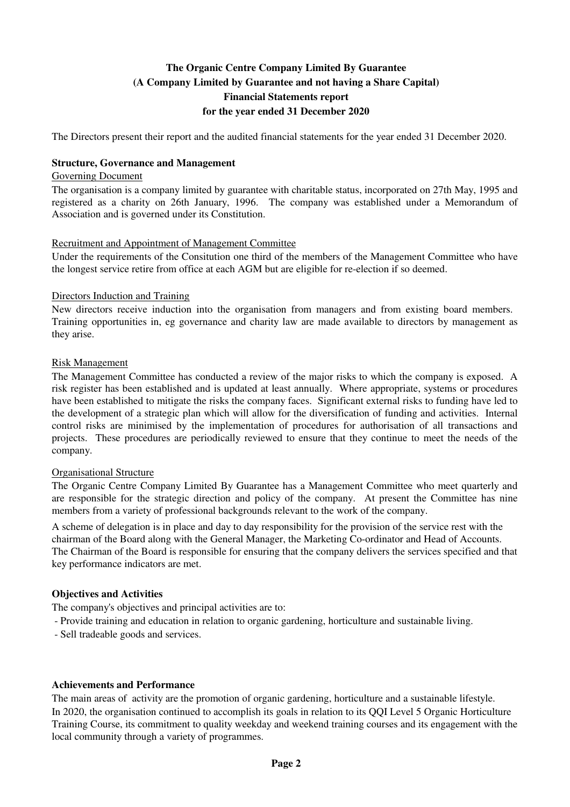The Directors present their report and the audited financial statements for the year ended 31 December 2020.

### **Structure, Governance and Management**

#### Governing Document

The organisation is a company limited by guarantee with charitable status, incorporated on 27th May, 1995 and registered as a charity on 26th January, 1996. The company was established under a Memorandum of Association and is governed under its Constitution.

### Recruitment and Appointment of Management Committee

Under the requirements of the Consitution one third of the members of the Management Committee who have the longest service retire from office at each AGM but are eligible for re-election if so deemed.

### Directors Induction and Training

New directors receive induction into the organisation from managers and from existing board members. Training opportunities in, eg governance and charity law are made available to directors by management as they arise.

#### Risk Management

The Management Committee has conducted a review of the major risks to which the company is exposed. A risk register has been established and is updated at least annually. Where appropriate, systems or procedures have been established to mitigate the risks the company faces. Significant external risks to funding have led to the development of a strategic plan which will allow for the diversification of funding and activities. Internal control risks are minimised by the implementation of procedures for authorisation of all transactions and projects. These procedures are periodically reviewed to ensure that they continue to meet the needs of the company.

### Organisational Structure

The Organic Centre Company Limited By Guarantee has a Management Committee who meet quarterly and are responsible for the strategic direction and policy of the company. At present the Committee has nine members from a variety of professional backgrounds relevant to the work of the company.

A scheme of delegation is in place and day to day responsibility for the provision of the service rest with the chairman of the Board along with the General Manager, the Marketing Co-ordinator and Head of Accounts. The Chairman of the Board is responsible for ensuring that the company delivers the services specified and that key performance indicators are met.

### **Objectives and Activities**

The company's objectives and principal activities are to:

- Provide training and education in relation to organic gardening, horticulture and sustainable living.
- Sell tradeable goods and services.

### **Achievements and Performance**

The main areas of activity are the promotion of organic gardening, horticulture and a sustainable lifestyle. In 2020, the organisation continued to accomplish its goals in relation to its QQI Level 5 Organic Horticulture Training Course, its commitment to quality weekday and weekend training courses and its engagement with the local community through a variety of programmes.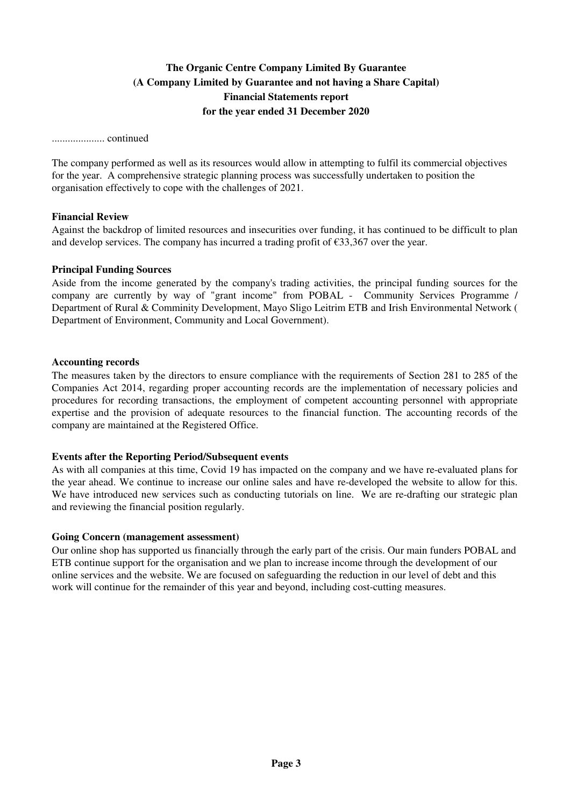.................... continued

The company performed as well as its resources would allow in attempting to fulfil its commercial objectives for the year. A comprehensive strategic planning process was successfully undertaken to position the organisation effectively to cope with the challenges of 2021.

### **Financial Review**

Against the backdrop of limited resources and insecurities over funding, it has continued to be difficult to plan and develop services. The company has incurred a trading profit of  $\epsilon$ 33,367 over the year.

#### **Principal Funding Sources**

Aside from the income generated by the company's trading activities, the principal funding sources for the company are currently by way of "grant income" from POBAL - Community Services Programme / Department of Rural & Comminity Development, Mayo Sligo Leitrim ETB and Irish Environmental Network ( Department of Environment, Community and Local Government).

#### **Accounting records**

The measures taken by the directors to ensure compliance with the requirements of Section 281 to 285 of the Companies Act 2014, regarding proper accounting records are the implementation of necessary policies and procedures for recording transactions, the employment of competent accounting personnel with appropriate expertise and the provision of adequate resources to the financial function. The accounting records of the company are maintained at the Registered Office.

### **Events after the Reporting Period/Subsequent events**

As with all companies at this time, Covid 19 has impacted on the company and we have re-evaluated plans for the year ahead. We continue to increase our online sales and have re-developed the website to allow for this. We have introduced new services such as conducting tutorials on line. We are re-drafting our strategic plan and reviewing the financial position regularly.

#### **Going Concern (management assessment)**

Our online shop has supported us financially through the early part of the crisis. Our main funders POBAL and ETB continue support for the organisation and we plan to increase income through the development of our online services and the website. We are focused on safeguarding the reduction in our level of debt and this work will continue for the remainder of this year and beyond, including cost-cutting measures.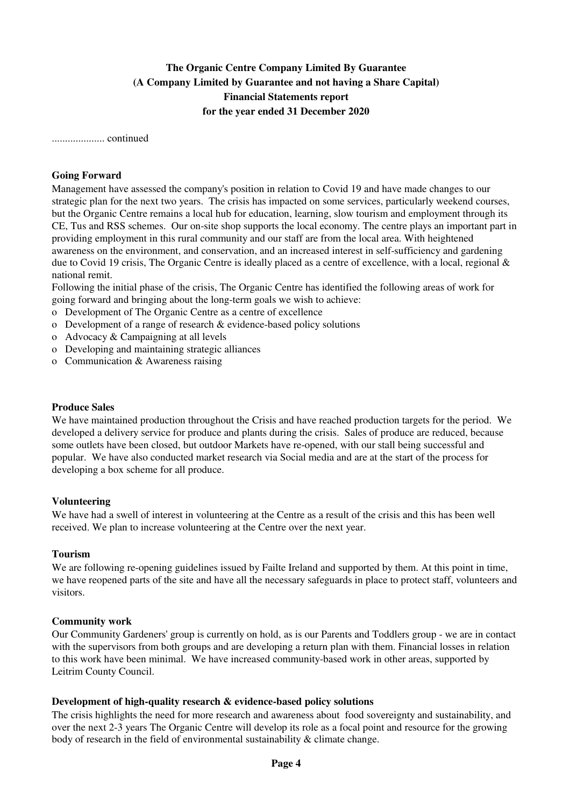.................... continued

### **Going Forward**

Management have assessed the company's position in relation to Covid 19 and have made changes to our strategic plan for the next two years. The crisis has impacted on some services, particularly weekend courses, but the Organic Centre remains a local hub for education, learning, slow tourism and employment through its CE, Tus and RSS schemes. Our on-site shop supports the local economy. The centre plays an important part in providing employment in this rural community and our staff are from the local area. With heightened awareness on the environment, and conservation, and an increased interest in self-sufficiency and gardening due to Covid 19 crisis, The Organic Centre is ideally placed as a centre of excellence, with a local, regional  $\&$ national remit.

Following the initial phase of the crisis, The Organic Centre has identified the following areas of work for going forward and bringing about the long-term goals we wish to achieve:

- o Development of The Organic Centre as a centre of excellence
- o Development of a range of research & evidence-based policy solutions
- o Advocacy & Campaigning at all levels
- o Developing and maintaining strategic alliances
- o Communication & Awareness raising

#### **Produce Sales**

We have maintained production throughout the Crisis and have reached production targets for the period. We developed a delivery service for produce and plants during the crisis. Sales of produce are reduced, because some outlets have been closed, but outdoor Markets have re-opened, with our stall being successful and popular. We have also conducted market research via Social media and are at the start of the process for developing a box scheme for all produce.

### **Volunteering**

We have had a swell of interest in volunteering at the Centre as a result of the crisis and this has been well received. We plan to increase volunteering at the Centre over the next year.

### **Tourism**

We are following re-opening guidelines issued by Failte Ireland and supported by them. At this point in time, we have reopened parts of the site and have all the necessary safeguards in place to protect staff, volunteers and visitors.

### **Community work**

Our Community Gardeners' group is currently on hold, as is our Parents and Toddlers group - we are in contact with the supervisors from both groups and are developing a return plan with them. Financial losses in relation to this work have been minimal. We have increased community-based work in other areas, supported by Leitrim County Council.

### **Development of high-quality research & evidence-based policy solutions**

The crisis highlights the need for more research and awareness about food sovereignty and sustainability, and over the next 2-3 years The Organic Centre will develop its role as a focal point and resource for the growing body of research in the field of environmental sustainability & climate change.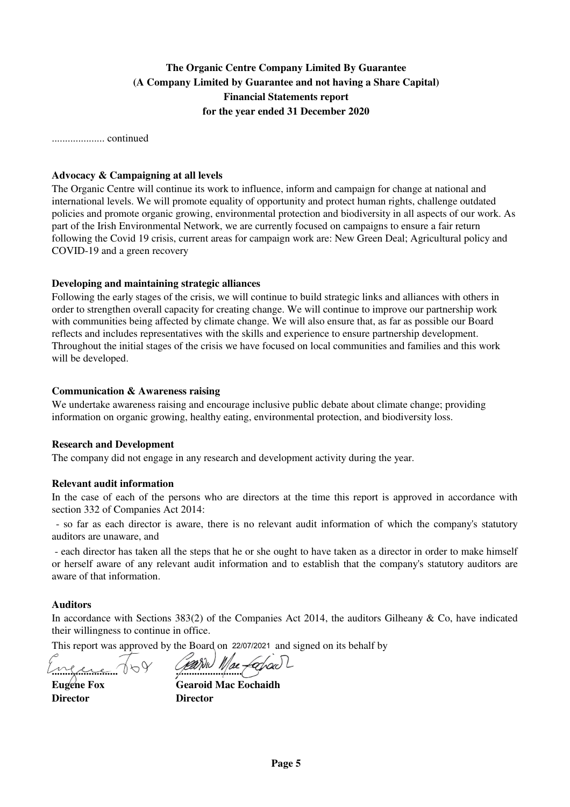.................... continued

#### **Advocacy & Campaigning at all levels**

The Organic Centre will continue its work to influence, inform and campaign for change at national and international levels. We will promote equality of opportunity and protect human rights, challenge outdated policies and promote organic growing, environmental protection and biodiversity in all aspects of our work. As part of the Irish Environmental Network, we are currently focused on campaigns to ensure a fair return following the Covid 19 crisis, current areas for campaign work are: New Green Deal; Agricultural policy and COVID-19 and a green recovery

#### **Developing and maintaining strategic alliances**

Following the early stages of the crisis, we will continue to build strategic links and alliances with others in order to strengthen overall capacity for creating change. We will continue to improve our partnership work with communities being affected by climate change. We will also ensure that, as far as possible our Board reflects and includes representatives with the skills and experience to ensure partnership development. Throughout the initial stages of the crisis we have focused on local communities and families and this work will be developed.

#### **Communication & Awareness raising**

We undertake awareness raising and encourage inclusive public debate about climate change; providing information on organic growing, healthy eating, environmental protection, and biodiversity loss.

#### **Research and Development**

The company did not engage in any research and development activity during the year.

### **Relevant audit information**

In the case of each of the persons who are directors at the time this report is approved in accordance with section 332 of Companies Act 2014:

 - so far as each director is aware, there is no relevant audit information of which the company's statutory auditors are unaware, and

 - each director has taken all the steps that he or she ought to have taken as a director in order to make himself or herself aware of any relevant audit information and to establish that the company's statutory auditors are aware of that information.

#### **Auditors**

In accordance with Sections  $383(2)$  of the Companies Act 2014, the auditors Gilheany & Co, have indicated their willingness to continue in office.

This report was approved by the Board on 22/07/2021 and signed on its behalf by

**......................... .........................**

**Director Director**

**Eugene Fox Gearoid Mac Eochaidh**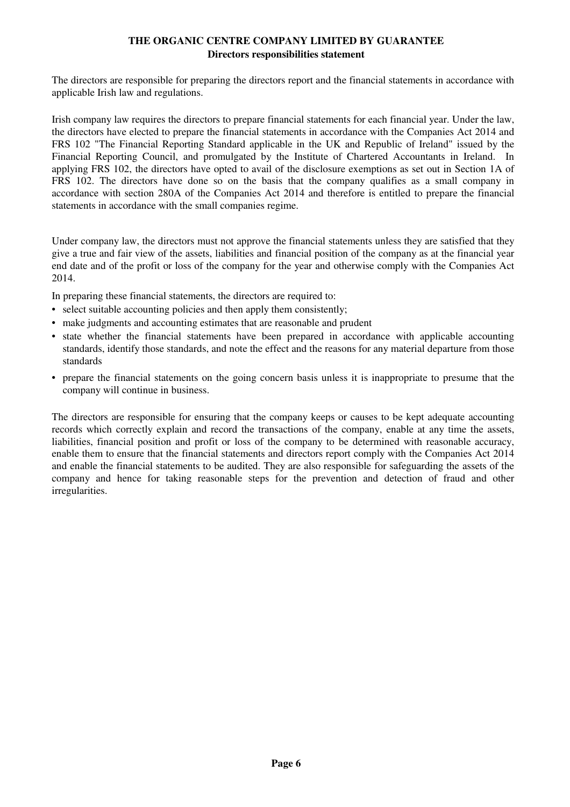## **THE ORGANIC CENTRE COMPANY LIMITED BY GUARANTEE Directors responsibilities statement**

The directors are responsible for preparing the directors report and the financial statements in accordance with applicable Irish law and regulations.

Irish company law requires the directors to prepare financial statements for each financial year. Under the law, the directors have elected to prepare the financial statements in accordance with the Companies Act 2014 and FRS 102 "The Financial Reporting Standard applicable in the UK and Republic of Ireland" issued by the Financial Reporting Council, and promulgated by the Institute of Chartered Accountants in Ireland. In applying FRS 102, the directors have opted to avail of the disclosure exemptions as set out in Section 1A of FRS 102. The directors have done so on the basis that the company qualifies as a small company in accordance with section 280A of the Companies Act 2014 and therefore is entitled to prepare the financial statements in accordance with the small companies regime.

Under company law, the directors must not approve the financial statements unless they are satisfied that they give a true and fair view of the assets, liabilities and financial position of the company as at the financial year end date and of the profit or loss of the company for the year and otherwise comply with the Companies Act 2014.

In preparing these financial statements, the directors are required to:

- select suitable accounting policies and then apply them consistently;
- make judgments and accounting estimates that are reasonable and prudent
- state whether the financial statements have been prepared in accordance with applicable accounting standards, identify those standards, and note the effect and the reasons for any material departure from those standards
- prepare the financial statements on the going concern basis unless it is inappropriate to presume that the company will continue in business.

The directors are responsible for ensuring that the company keeps or causes to be kept adequate accounting records which correctly explain and record the transactions of the company, enable at any time the assets, liabilities, financial position and profit or loss of the company to be determined with reasonable accuracy, enable them to ensure that the financial statements and directors report comply with the Companies Act 2014 and enable the financial statements to be audited. They are also responsible for safeguarding the assets of the company and hence for taking reasonable steps for the prevention and detection of fraud and other irregularities.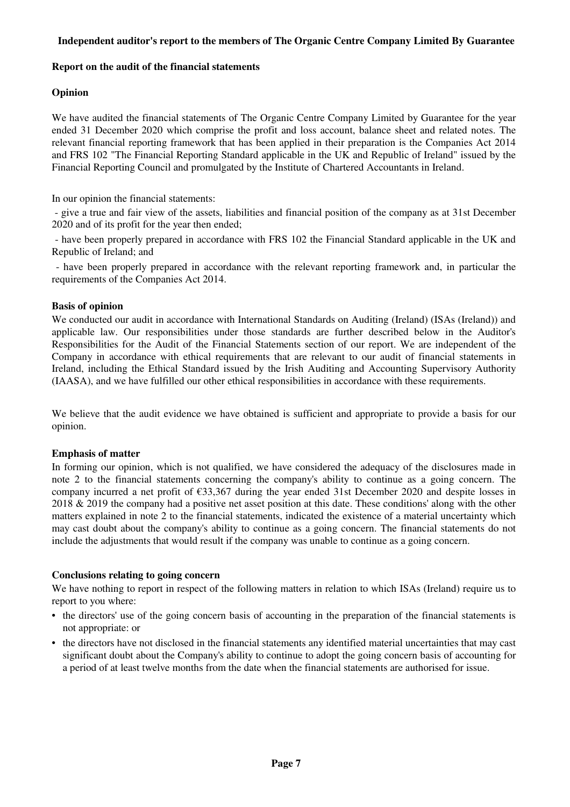### **Independent auditor's report to the members of The Organic Centre Company Limited By Guarantee**

### **Report on the audit of the financial statements**

### **Opinion**

We have audited the financial statements of The Organic Centre Company Limited by Guarantee for the year ended 31 December 2020 which comprise the profit and loss account, balance sheet and related notes. The relevant financial reporting framework that has been applied in their preparation is the Companies Act 2014 and FRS 102 "The Financial Reporting Standard applicable in the UK and Republic of Ireland" issued by the Financial Reporting Council and promulgated by the Institute of Chartered Accountants in Ireland.

In our opinion the financial statements:

 - give a true and fair view of the assets, liabilities and financial position of the company as at 31st December 2020 and of its profit for the year then ended;

 - have been properly prepared in accordance with FRS 102 the Financial Standard applicable in the UK and Republic of Ireland; and

 - have been properly prepared in accordance with the relevant reporting framework and, in particular the requirements of the Companies Act 2014.

### **Basis of opinion**

We conducted our audit in accordance with International Standards on Auditing (Ireland) (ISAs (Ireland)) and applicable law. Our responsibilities under those standards are further described below in the Auditor's Responsibilities for the Audit of the Financial Statements section of our report. We are independent of the Company in accordance with ethical requirements that are relevant to our audit of financial statements in Ireland, including the Ethical Standard issued by the Irish Auditing and Accounting Supervisory Authority (IAASA), and we have fulfilled our other ethical responsibilities in accordance with these requirements.

We believe that the audit evidence we have obtained is sufficient and appropriate to provide a basis for our opinion.

### **Emphasis of matter**

In forming our opinion, which is not qualified, we have considered the adequacy of the disclosures made in note 2 to the financial statements concerning the company's ability to continue as a going concern. The company incurred a net profit of  $\epsilon$ 33,367 during the year ended 31st December 2020 and despite losses in 2018 & 2019 the company had a positive net asset position at this date. These conditions' along with the other matters explained in note 2 to the financial statements, indicated the existence of a material uncertainty which may cast doubt about the company's ability to continue as a going concern. The financial statements do not include the adjustments that would result if the company was unable to continue as a going concern.

### **Conclusions relating to going concern**

We have nothing to report in respect of the following matters in relation to which ISAs (Ireland) require us to report to you where:

- the directors' use of the going concern basis of accounting in the preparation of the financial statements is not appropriate: or
- the directors have not disclosed in the financial statements any identified material uncertainties that may cast significant doubt about the Company's ability to continue to adopt the going concern basis of accounting for a period of at least twelve months from the date when the financial statements are authorised for issue.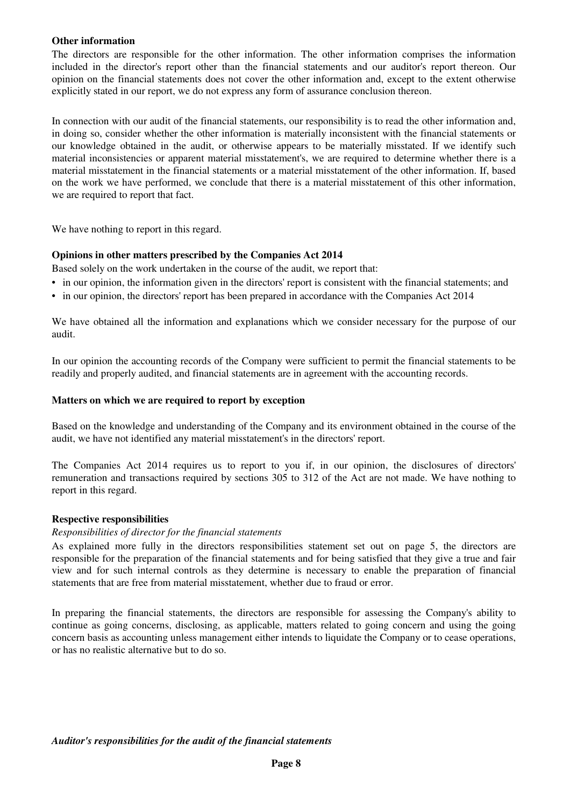### **Other information**

The directors are responsible for the other information. The other information comprises the information included in the director's report other than the financial statements and our auditor's report thereon. Our opinion on the financial statements does not cover the other information and, except to the extent otherwise explicitly stated in our report, we do not express any form of assurance conclusion thereon.

In connection with our audit of the financial statements, our responsibility is to read the other information and, in doing so, consider whether the other information is materially inconsistent with the financial statements or our knowledge obtained in the audit, or otherwise appears to be materially misstated. If we identify such material inconsistencies or apparent material misstatement's, we are required to determine whether there is a material misstatement in the financial statements or a material misstatement of the other information. If, based on the work we have performed, we conclude that there is a material misstatement of this other information, we are required to report that fact.

We have nothing to report in this regard.

### **Opinions in other matters prescribed by the Companies Act 2014**

Based solely on the work undertaken in the course of the audit, we report that:

- in our opinion, the information given in the directors' report is consistent with the financial statements; and
- in our opinion, the directors' report has been prepared in accordance with the Companies Act 2014

We have obtained all the information and explanations which we consider necessary for the purpose of our audit.

In our opinion the accounting records of the Company were sufficient to permit the financial statements to be readily and properly audited, and financial statements are in agreement with the accounting records.

### **Matters on which we are required to report by exception**

Based on the knowledge and understanding of the Company and its environment obtained in the course of the audit, we have not identified any material misstatement's in the directors' report.

The Companies Act 2014 requires us to report to you if, in our opinion, the disclosures of directors' remuneration and transactions required by sections 305 to 312 of the Act are not made. We have nothing to report in this regard.

### **Respective responsibilities**

### *Responsibilities of director for the financial statements*

As explained more fully in the directors responsibilities statement set out on page 5, the directors are responsible for the preparation of the financial statements and for being satisfied that they give a true and fair view and for such internal controls as they determine is necessary to enable the preparation of financial statements that are free from material misstatement, whether due to fraud or error.

In preparing the financial statements, the directors are responsible for assessing the Company's ability to continue as going concerns, disclosing, as applicable, matters related to going concern and using the going concern basis as accounting unless management either intends to liquidate the Company or to cease operations, or has no realistic alternative but to do so.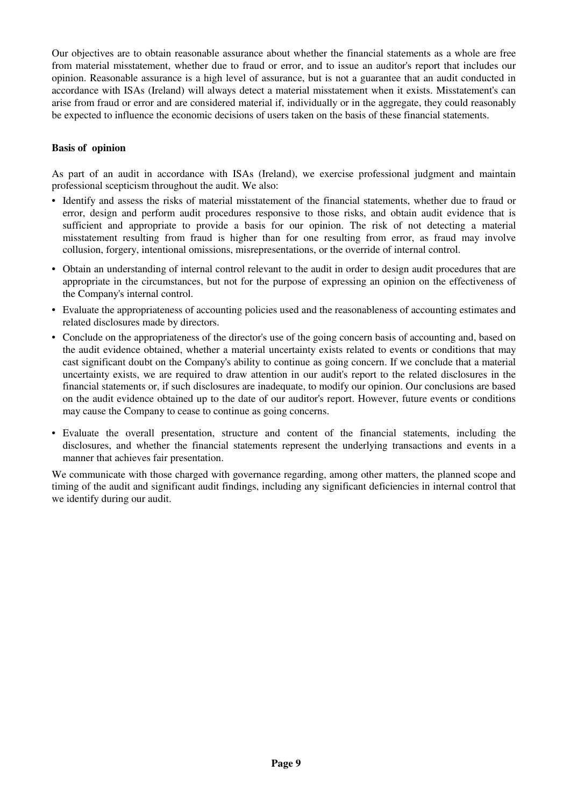Our objectives are to obtain reasonable assurance about whether the financial statements as a whole are free from material misstatement, whether due to fraud or error, and to issue an auditor's report that includes our opinion. Reasonable assurance is a high level of assurance, but is not a guarantee that an audit conducted in accordance with ISAs (Ireland) will always detect a material misstatement when it exists. Misstatement's can arise from fraud or error and are considered material if, individually or in the aggregate, they could reasonably be expected to influence the economic decisions of users taken on the basis of these financial statements.

### **Basis of opinion**

As part of an audit in accordance with ISAs (Ireland), we exercise professional judgment and maintain professional scepticism throughout the audit. We also:

- Identify and assess the risks of material misstatement of the financial statements, whether due to fraud or error, design and perform audit procedures responsive to those risks, and obtain audit evidence that is sufficient and appropriate to provide a basis for our opinion. The risk of not detecting a material misstatement resulting from fraud is higher than for one resulting from error, as fraud may involve collusion, forgery, intentional omissions, misrepresentations, or the override of internal control.
- Obtain an understanding of internal control relevant to the audit in order to design audit procedures that are appropriate in the circumstances, but not for the purpose of expressing an opinion on the effectiveness of the Company's internal control.
- Evaluate the appropriateness of accounting policies used and the reasonableness of accounting estimates and related disclosures made by directors.
- Conclude on the appropriateness of the director's use of the going concern basis of accounting and, based on the audit evidence obtained, whether a material uncertainty exists related to events or conditions that may cast significant doubt on the Company's ability to continue as going concern. If we conclude that a material uncertainty exists, we are required to draw attention in our audit's report to the related disclosures in the financial statements or, if such disclosures are inadequate, to modify our opinion. Our conclusions are based on the audit evidence obtained up to the date of our auditor's report. However, future events or conditions may cause the Company to cease to continue as going concerns.
- Evaluate the overall presentation, structure and content of the financial statements, including the disclosures, and whether the financial statements represent the underlying transactions and events in a manner that achieves fair presentation.

We communicate with those charged with governance regarding, among other matters, the planned scope and timing of the audit and significant audit findings, including any significant deficiencies in internal control that we identify during our audit.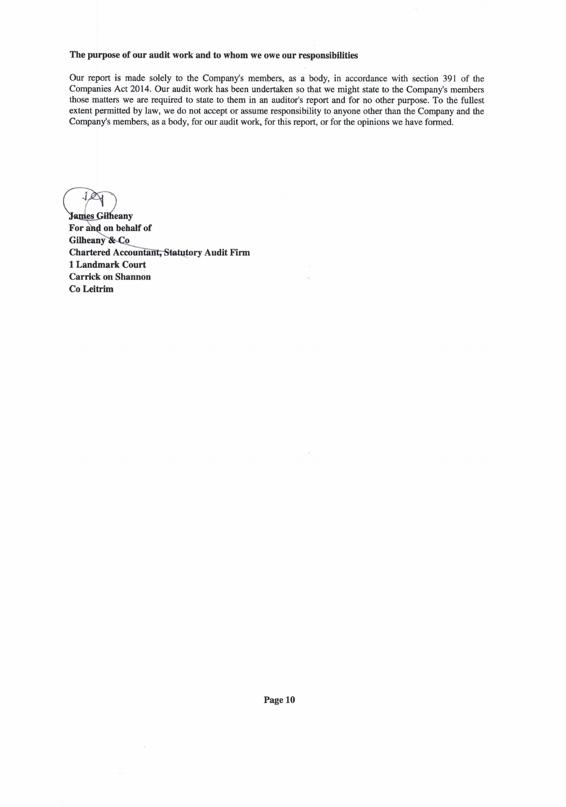#### The purpose of our audit work and to whom we owe our responsibilities

Our report is made solely to the Company's members, as a body, in accordance with section 391 of the Companies Act 2014. Our audit work has been undertaken so that we might state to the Company's members those matters we are required to state to them in an auditor's report and for no other purpose. To the fullest extent permitted by law, we do not accept or assume responsibility to anyone other than the Company and the Company's members, as a body, for our audit work, for this report, or for the opinions we have formed.

**James Gilheany** For and on behalf of Gilheany & Co **Chartered Accountant, Statutory Audit Firm** 1 Landmark Court **Carrick on Shannon** Co Leitrim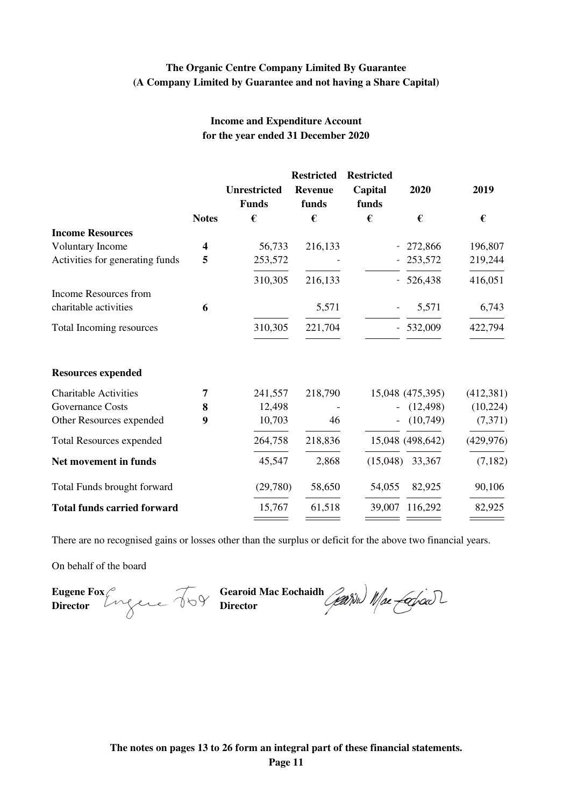## **The Organic Centre Company Limited By Guarantee (A Company Limited by Guarantee and not having a Share Capital)**

## **Income and Expenditure Account for the year ended 31 December 2020**

|                                    |                |                     | <b>Restricted</b> | <b>Restricted</b> |                   |            |
|------------------------------------|----------------|---------------------|-------------------|-------------------|-------------------|------------|
|                                    |                | <b>Unrestricted</b> | <b>Revenue</b>    | Capital           | 2020              | 2019       |
|                                    |                | <b>Funds</b>        | funds             | funds             |                   |            |
|                                    | <b>Notes</b>   | €                   | €                 | €                 | €                 | €          |
| <b>Income Resources</b>            |                |                     |                   |                   |                   |            |
| <b>Voluntary Income</b>            | 4              | 56,733              | 216,133           |                   | 272,866           | 196,807    |
| Activities for generating funds    | 5              | 253,572             |                   |                   | 253,572           | 219,244    |
|                                    |                | 310,305             | 216,133           |                   | $-526,438$        | 416,051    |
| Income Resources from              |                |                     |                   |                   |                   |            |
| charitable activities              | 6              |                     | 5,571             |                   | 5,571             | 6,743      |
| Total Incoming resources           |                | 310,305             | 221,704           |                   | $-532,009$        | 422,794    |
| <b>Resources expended</b>          |                |                     |                   |                   |                   |            |
| <b>Charitable Activities</b>       | $\overline{7}$ | 241,557             | 218,790           |                   | 15,048 (475,395)  | (412, 381) |
| <b>Governance Costs</b>            | 8              | 12,498              |                   |                   | (12, 498)         | (10, 224)  |
| Other Resources expended           | 9              | 10,703              | 46                |                   | (10,749)          | (7,371)    |
| <b>Total Resources expended</b>    |                | 264,758             | 218,836           |                   | 15,048 (498,642)  | (429, 976) |
| Net movement in funds              |                | 45,547              | 2,868             |                   | $(15,048)$ 33,367 | (7,182)    |
| Total Funds brought forward        |                | (29,780)            | 58,650            | 54,055            | 82,925            | 90,106     |
| <b>Total funds carried forward</b> |                | 15,767              | 61,518            | 39,007            | 116,292           | 82,925     |
|                                    |                |                     |                   |                   |                   |            |

There are no recognised gains or losses other than the surplus or deficit for the above two financial years.

On behalf of the board

**Director Director**

**Eugene Fox** *Gearoid Mac Eochaidh*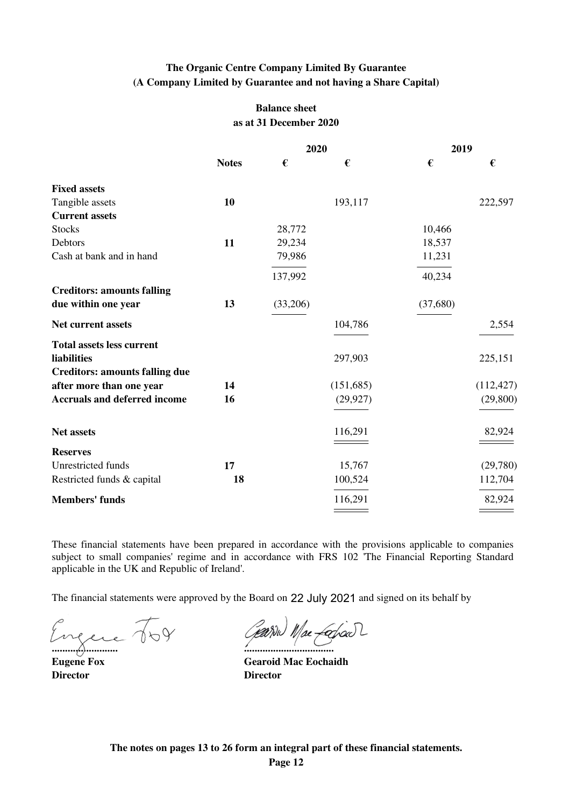## **The Organic Centre Company Limited By Guarantee (A Company Limited by Guarantee and not having a Share Capital)**

## **Balance sheet as at 31 December 2020**

|                                       |              | 2020     |           | 2019     |            |
|---------------------------------------|--------------|----------|-----------|----------|------------|
|                                       | <b>Notes</b> | €        | €         | €        | €          |
| <b>Fixed assets</b>                   |              |          |           |          |            |
| Tangible assets                       | 10           |          | 193,117   |          | 222,597    |
| <b>Current assets</b>                 |              |          |           |          |            |
| <b>Stocks</b>                         |              | 28,772   |           | 10,466   |            |
| Debtors                               | 11           | 29,234   |           | 18,537   |            |
| Cash at bank and in hand              |              | 79,986   |           | 11,231   |            |
|                                       |              | 137,992  |           | 40,234   |            |
| <b>Creditors: amounts falling</b>     |              |          |           |          |            |
| due within one year                   | 13           | (33,206) |           | (37,680) |            |
| <b>Net current assets</b>             |              |          | 104,786   |          | 2,554      |
| <b>Total assets less current</b>      |              |          |           |          |            |
| liabilities                           |              |          | 297,903   |          | 225,151    |
| <b>Creditors: amounts falling due</b> |              |          |           |          |            |
| after more than one year              | 14           |          | (151,685) |          | (112, 427) |
| <b>Accruals and deferred income</b>   | 16           |          | (29, 927) |          | (29, 800)  |
| Net assets                            |              |          | 116,291   |          | 82,924     |
| <b>Reserves</b>                       |              |          |           |          |            |
| <b>Unrestricted funds</b>             | 17           |          | 15,767    |          | (29,780)   |
| Restricted funds & capital            | 18           |          | 100,524   |          | 112,704    |
| <b>Members' funds</b>                 |              |          | 116,291   |          | 82,924     |
|                                       |              |          |           |          |            |

These financial statements have been prepared in accordance with the provisions applicable to companies subject to small companies' regime and in accordance with FRS 102 'The Financial Reporting Standard applicable in the UK and Republic of Ireland'.

The financial statements were approved by the Board on 22 July 2021 and signed on its behalf by

Engere 709 Garne Macfoist

**Director Director**

**Eugene Fox Gearoid Mac Eochaidh**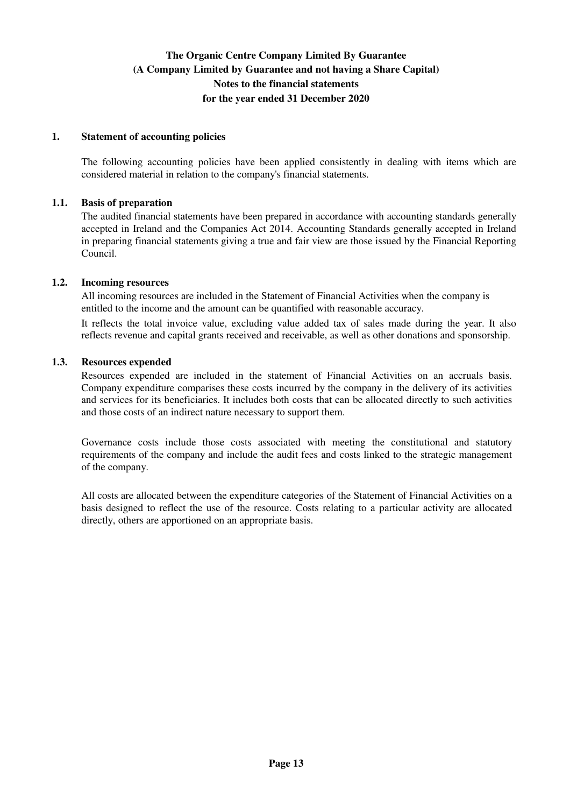### **1. Statement of accounting policies**

The following accounting policies have been applied consistently in dealing with items which are considered material in relation to the company's financial statements.

### **1.1. Basis of preparation**

The audited financial statements have been prepared in accordance with accounting standards generally accepted in Ireland and the Companies Act 2014. Accounting Standards generally accepted in Ireland in preparing financial statements giving a true and fair view are those issued by the Financial Reporting Council.

#### **1.2. Incoming resources**

All incoming resources are included in the Statement of Financial Activities when the company is entitled to the income and the amount can be quantified with reasonable accuracy.

It reflects the total invoice value, excluding value added tax of sales made during the year. It also reflects revenue and capital grants received and receivable, as well as other donations and sponsorship.

#### **1.3. Resources expended**

Resources expended are included in the statement of Financial Activities on an accruals basis. Company expenditure comparises these costs incurred by the company in the delivery of its activities and services for its beneficiaries. It includes both costs that can be allocated directly to such activities and those costs of an indirect nature necessary to support them.

Governance costs include those costs associated with meeting the constitutional and statutory requirements of the company and include the audit fees and costs linked to the strategic management of the company.

All costs are allocated between the expenditure categories of the Statement of Financial Activities on a basis designed to reflect the use of the resource. Costs relating to a particular activity are allocated directly, others are apportioned on an appropriate basis.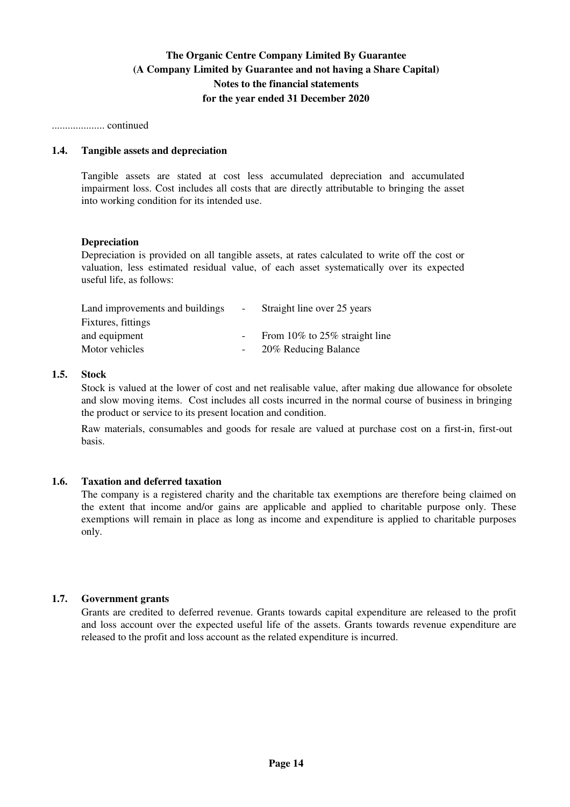.................... continued

### **1.4. Tangible assets and depreciation**

Tangible assets are stated at cost less accumulated depreciation and accumulated impairment loss. Cost includes all costs that are directly attributable to bringing the asset into working condition for its intended use.

#### **Depreciation**

Depreciation is provided on all tangible assets, at rates calculated to write off the cost or valuation, less estimated residual value, of each asset systematically over its expected useful life, as follows:

| Land improvements and buildings | $\sim$ $-$ | Straight line over 25 years   |
|---------------------------------|------------|-------------------------------|
| Fixtures, fittings              |            |                               |
| and equipment                   |            | From 10% to 25% straight line |
| Motor vehicles                  |            | 20% Reducing Balance          |

### **1.5. Stock**

Stock is valued at the lower of cost and net realisable value, after making due allowance for obsolete and slow moving items. Cost includes all costs incurred in the normal course of business in bringing the product or service to its present location and condition.

Raw materials, consumables and goods for resale are valued at purchase cost on a first-in, first-out basis.

### **1.6. Taxation and deferred taxation**

The company is a registered charity and the charitable tax exemptions are therefore being claimed on the extent that income and/or gains are applicable and applied to charitable purpose only. These exemptions will remain in place as long as income and expenditure is applied to charitable purposes only.

### **1.7. Government grants**

Grants are credited to deferred revenue. Grants towards capital expenditure are released to the profit and loss account over the expected useful life of the assets. Grants towards revenue expenditure are released to the profit and loss account as the related expenditure is incurred.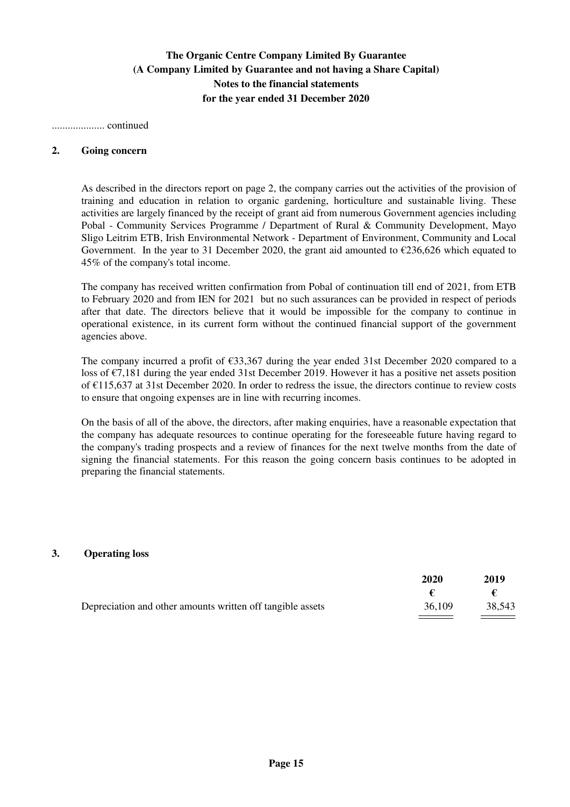.................... continued

#### **2. Going concern**

As described in the directors report on page 2, the company carries out the activities of the provision of training and education in relation to organic gardening, horticulture and sustainable living. These activities are largely financed by the receipt of grant aid from numerous Government agencies including Pobal - Community Services Programme / Department of Rural & Community Development, Mayo Sligo Leitrim ETB, Irish Environmental Network - Department of Environment, Community and Local Government. In the year to 31 December 2020, the grant aid amounted to  $\epsilon$ 236,626 which equated to 45% of the company's total income.

The company has received written confirmation from Pobal of continuation till end of 2021, from ETB to February 2020 and from IEN for 2021 but no such assurances can be provided in respect of periods after that date. The directors believe that it would be impossible for the company to continue in operational existence, in its current form without the continued financial support of the government agencies above.

The company incurred a profit of €33,367 during the year ended 31st December 2020 compared to a loss of €7,181 during the year ended 31st December 2019. However it has a positive net assets position of €115,637 at 31st December 2020. In order to redress the issue, the directors continue to review costs to ensure that ongoing expenses are in line with recurring incomes.

On the basis of all of the above, the directors, after making enquiries, have a reasonable expectation that the company has adequate resources to continue operating for the foreseeable future having regard to the company's trading prospects and a review of finances for the next twelve months from the date of signing the financial statements. For this reason the going concern basis continues to be adopted in preparing the financial statements.

### **3. Operating loss**

|                                                            | 2020   | 2019   |
|------------------------------------------------------------|--------|--------|
|                                                            |        |        |
| Depreciation and other amounts written off tangible assets | 36,109 | 38,543 |
|                                                            |        |        |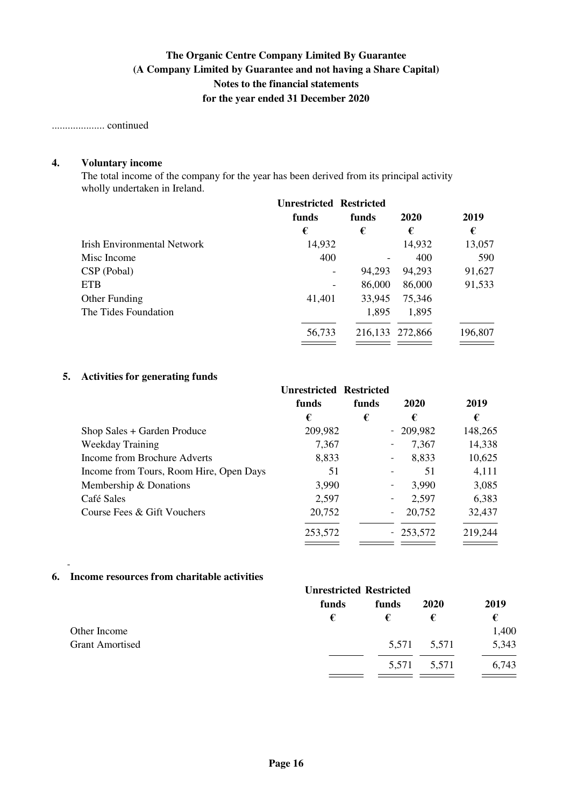.................... continued

## **4. Voluntary income**

The total income of the company for the year has been derived from its principal activity wholly undertaken in Ireland.

|                                    | <b>Unrestricted Restricted</b> |         |         |         |
|------------------------------------|--------------------------------|---------|---------|---------|
|                                    | funds                          | funds   | 2020    | 2019    |
|                                    | €                              | €       | €       | €       |
| <b>Irish Environmental Network</b> | 14,932                         |         | 14,932  | 13,057  |
| Misc Income                        | 400                            |         | 400     | 590     |
| CSP (Pobal)                        |                                | 94,293  | 94,293  | 91,627  |
| <b>ETB</b>                         |                                | 86,000  | 86,000  | 91,533  |
| Other Funding                      | 41,401                         | 33,945  | 75,346  |         |
| The Tides Foundation               |                                | 1,895   | 1,895   |         |
|                                    | 56,733                         | 216,133 | 272,866 | 196,807 |

### **5. Activities for generating funds**

|                                         | <b>Unrestricted Restricted</b><br>funds | funds | 2020       | 2019    |
|-----------------------------------------|-----------------------------------------|-------|------------|---------|
|                                         | €                                       | €     | €          | €       |
| Shop Sales + Garden Produce             | 209,982                                 |       | $-209,982$ | 148,265 |
| Weekday Training                        | 7,367                                   |       | 7,367      | 14,338  |
| Income from Brochure Adverts            | 8,833                                   |       | 8,833      | 10,625  |
| Income from Tours, Room Hire, Open Days | 51                                      |       | 51         | 4,111   |
| Membership & Donations                  | 3,990                                   |       | 3,990      | 3,085   |
| Café Sales                              | 2,597                                   |       | 2,597      | 6,383   |
| Course Fees & Gift Vouchers             | 20,752                                  |       | 20,752     | 32,437  |
|                                         | 253,572                                 |       | $-253,572$ | 219,244 |

## **6. Income resources from charitable activities**

-

|                        | <b>Unrestricted Restricted</b> |       |             |       |
|------------------------|--------------------------------|-------|-------------|-------|
|                        | funds                          | funds | 2020        | 2019  |
|                        | €                              | €     | €           | €     |
| Other Income           |                                |       |             | 1,400 |
| <b>Grant Amortised</b> |                                |       | 5,571 5,571 | 5,343 |
|                        |                                | 5,571 | 5,571       | 6,743 |
|                        |                                |       |             |       |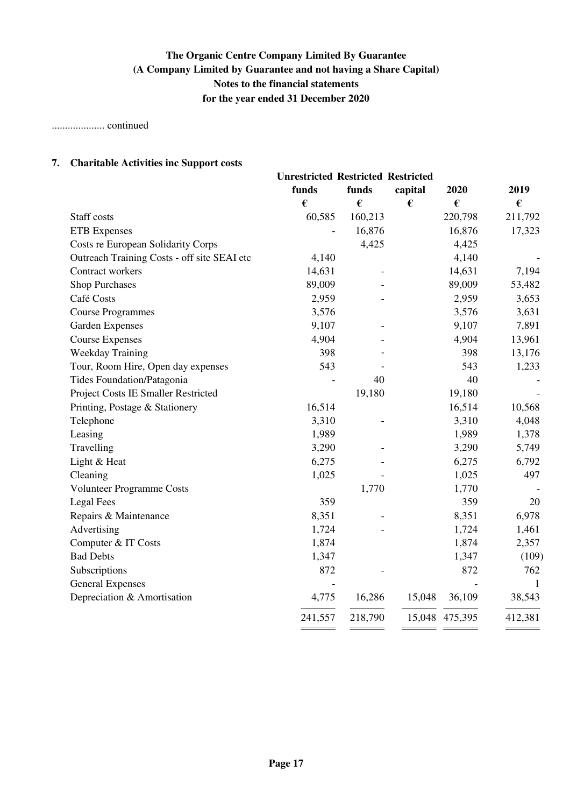.................... continued

## **7. Charitable Activities inc Support costs**

|                                             | <b>Unrestricted Restricted Restricted</b> |         |         |         |                  |
|---------------------------------------------|-------------------------------------------|---------|---------|---------|------------------|
|                                             | funds                                     | funds   | capital | 2020    | 2019             |
|                                             | €                                         | €       | €       | €       | $\pmb{\epsilon}$ |
| Staff costs                                 | 60,585                                    | 160,213 |         | 220,798 | 211,792          |
| <b>ETB</b> Expenses                         |                                           | 16,876  |         | 16,876  | 17,323           |
| Costs re European Solidarity Corps          |                                           | 4,425   |         | 4,425   |                  |
| Outreach Training Costs - off site SEAI etc | 4,140                                     |         |         | 4,140   |                  |
| Contract workers                            | 14,631                                    |         |         | 14,631  | 7,194            |
| <b>Shop Purchases</b>                       | 89,009                                    |         |         | 89,009  | 53,482           |
| Café Costs                                  | 2,959                                     |         |         | 2,959   | 3,653            |
| <b>Course Programmes</b>                    | 3,576                                     |         |         | 3,576   | 3,631            |
| <b>Garden Expenses</b>                      | 9,107                                     |         |         | 9,107   | 7,891            |
| <b>Course Expenses</b>                      | 4,904                                     |         |         | 4,904   | 13,961           |
| Weekday Training                            | 398                                       |         |         | 398     | 13,176           |
| Tour, Room Hire, Open day expenses          | 543                                       |         |         | 543     | 1,233            |
| Tides Foundation/Patagonia                  |                                           | 40      |         | 40      |                  |
| Project Costs IE Smaller Restricted         |                                           | 19,180  |         | 19,180  |                  |
| Printing, Postage & Stationery              | 16,514                                    |         |         | 16,514  | 10,568           |
| Telephone                                   | 3,310                                     |         |         | 3,310   | 4,048            |
| Leasing                                     | 1,989                                     |         |         | 1,989   | 1,378            |
| Travelling                                  | 3,290                                     |         |         | 3,290   | 5,749            |
| Light & Heat                                | 6,275                                     |         |         | 6,275   | 6,792            |
| Cleaning                                    | 1,025                                     |         |         | 1,025   | 497              |
| Volunteer Programme Costs                   |                                           | 1,770   |         | 1,770   |                  |
| <b>Legal Fees</b>                           | 359                                       |         |         | 359     | 20               |
| Repairs & Maintenance                       | 8,351                                     |         |         | 8,351   | 6,978            |
| Advertising                                 | 1,724                                     |         |         | 1,724   | 1,461            |
| Computer & IT Costs                         | 1,874                                     |         |         | 1,874   | 2,357            |
| <b>Bad Debts</b>                            | 1,347                                     |         |         | 1,347   | (109)            |
| Subscriptions                               | 872                                       |         |         | 872     | 762              |
| <b>General Expenses</b>                     |                                           |         |         |         | $\mathbf{1}$     |
| Depreciation & Amortisation                 | 4,775                                     | 16,286  | 15,048  | 36,109  | 38,543           |
|                                             | 241,557                                   | 218,790 | 15,048  | 475,395 | 412,381          |
|                                             |                                           |         |         |         |                  |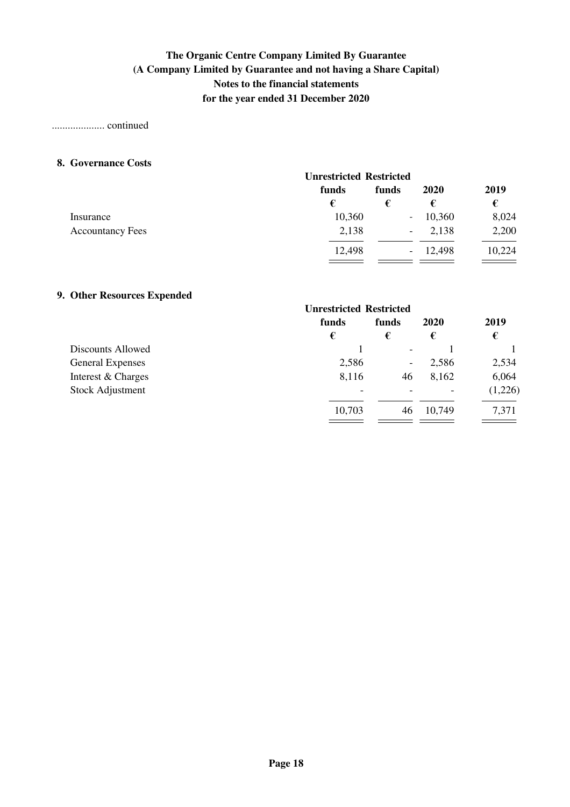### .................... continued

### **8. Governance Costs**

|                         | <b>Unrestricted Restricted</b> |                          |           |        |
|-------------------------|--------------------------------|--------------------------|-----------|--------|
|                         | funds                          | funds                    | 2020      | 2019   |
|                         | €                              |                          | €         | €      |
| Insurance               | 10,360                         |                          | $-10,360$ | 8,024  |
| <b>Accountancy Fees</b> | 2,138                          | $\overline{\phantom{a}}$ | 2,138     | 2,200  |
|                         | 12,498                         | $\sim$                   | 12,498    | 10,224 |
|                         |                                |                          |           |        |

## **9. Other Resources Expended**

|                         | <b>Unrestricted Restricted</b> |                          |                          |         |
|-------------------------|--------------------------------|--------------------------|--------------------------|---------|
|                         | funds                          | funds                    | 2020                     | 2019    |
|                         | €                              | €                        | €                        | €       |
| Discounts Allowed       |                                | $\overline{\phantom{a}}$ |                          |         |
| <b>General Expenses</b> | 2,586                          | $\overline{\phantom{a}}$ | 2,586                    | 2,534   |
| Interest & Charges      | 8,116                          | 46                       | 8,162                    | 6,064   |
| <b>Stock Adjustment</b> | $\overline{\phantom{0}}$       |                          | $\overline{\phantom{a}}$ | (1,226) |
|                         | 10,703                         | 46                       | 10,749                   | 7,371   |
|                         |                                |                          |                          |         |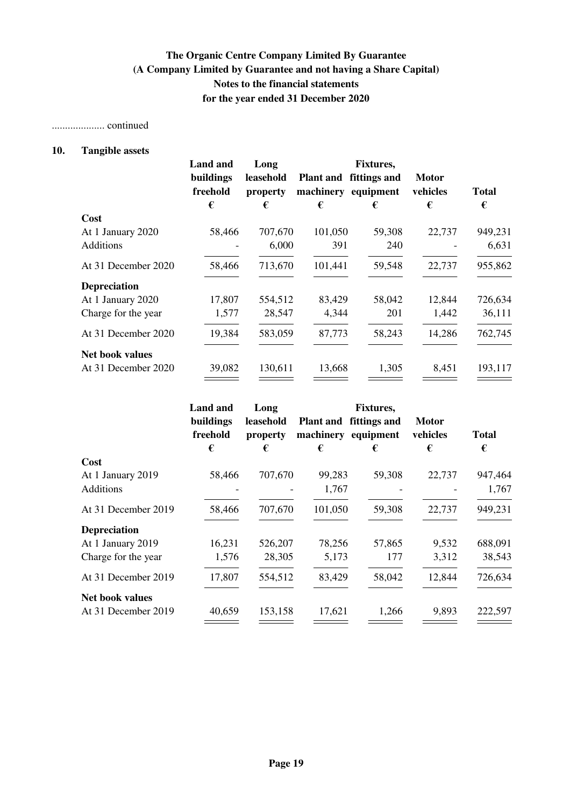## .................... continued

## **10. Tangible assets**

|                        | <b>Land and</b>       | Long                  |         | <b>Fixtures,</b>                              |                          |              |
|------------------------|-----------------------|-----------------------|---------|-----------------------------------------------|--------------------------|--------------|
|                        | buildings<br>freehold | leasehold<br>property |         | Plant and fittings and<br>machinery equipment | <b>Motor</b><br>vehicles | <b>Total</b> |
|                        | €                     | €                     | €       | €                                             | €                        | €            |
| Cost                   |                       |                       |         |                                               |                          |              |
| At 1 January 2020      | 58,466                | 707,670               | 101,050 | 59,308                                        | 22,737                   | 949,231      |
| <b>Additions</b>       |                       | 6,000                 | 391     | 240                                           |                          | 6,631        |
| At 31 December 2020    | 58,466                | 713,670               | 101,441 | 59,548                                        | 22,737                   | 955,862      |
| <b>Depreciation</b>    |                       |                       |         |                                               |                          |              |
| At 1 January 2020      | 17,807                | 554,512               | 83,429  | 58,042                                        | 12,844                   | 726,634      |
| Charge for the year    | 1,577                 | 28,547                | 4,344   | 201                                           | 1,442                    | 36,111       |
| At 31 December 2020    | 19,384                | 583,059               | 87,773  | 58,243                                        | 14,286                   | 762,745      |
| <b>Net book values</b> |                       |                       |         |                                               |                          |              |
| At 31 December 2020    | 39,082                | 130,611               | 13,668  | 1,305                                         | 8,451                    | 193,117      |
|                        |                       |                       |         |                                               |                          |              |

|                        | <b>Land</b> and       | Long                  |                  | <b>Fixtures,</b>                    |                          |              |
|------------------------|-----------------------|-----------------------|------------------|-------------------------------------|--------------------------|--------------|
|                        | buildings<br>freehold | leasehold<br>property | <b>Plant and</b> | fittings and<br>machinery equipment | <b>Motor</b><br>vehicles | <b>Total</b> |
|                        | €                     | €                     | €                | €                                   | €                        | €            |
| Cost                   |                       |                       |                  |                                     |                          |              |
| At 1 January 2019      | 58,466                | 707,670               | 99,283           | 59,308                              | 22,737                   | 947,464      |
| Additions              |                       |                       | 1,767            |                                     |                          | 1,767        |
| At 31 December 2019    | 58,466                | 707,670               | 101,050          | 59,308                              | 22,737                   | 949,231      |
| <b>Depreciation</b>    |                       |                       |                  |                                     |                          |              |
| At 1 January 2019      | 16,231                | 526,207               | 78,256           | 57,865                              | 9,532                    | 688,091      |
| Charge for the year    | 1,576                 | 28,305                | 5,173            | 177                                 | 3,312                    | 38,543       |
| At 31 December 2019    | 17,807                | 554,512               | 83,429           | 58,042                              | 12,844                   | 726,634      |
| <b>Net book values</b> |                       |                       |                  |                                     |                          |              |
| At 31 December 2019    | 40,659                | 153,158               | 17,621           | 1.266                               | 9,893                    | 222,597      |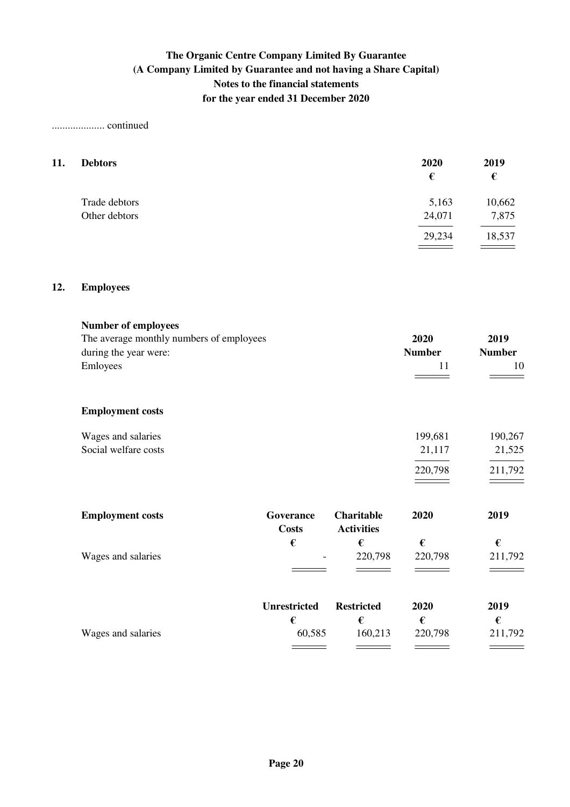## .................... continued

| 11. | <b>Debtors</b> | 2020<br>€ | 2019<br>€ |
|-----|----------------|-----------|-----------|
|     | Trade debtors  | 5,163     | 10,662    |
|     | Other debtors  | 24,071    | 7,875     |
|     |                | 29,234    | 18,537    |
|     |                |           |           |

### **12. Employees**

| <b>Number of employees</b>               |                     |                   |               |               |
|------------------------------------------|---------------------|-------------------|---------------|---------------|
| The average monthly numbers of employees |                     |                   | 2020          | 2019          |
| during the year were:                    |                     |                   | <b>Number</b> | <b>Number</b> |
| Emloyees                                 |                     |                   | 11            | 10            |
|                                          |                     |                   |               |               |
| <b>Employment costs</b>                  |                     |                   |               |               |
| Wages and salaries                       |                     |                   | 199,681       | 190,267       |
| Social welfare costs                     |                     |                   | 21,117        | 21,525        |
|                                          |                     |                   | 220,798       | 211,792       |
|                                          |                     |                   | 2020          |               |
| <b>Employment costs</b>                  | Goverance           | <b>Charitable</b> |               | 2019          |
|                                          | <b>Costs</b>        | <b>Activities</b> |               |               |
|                                          | €                   | €                 | €             | €             |
| Wages and salaries                       |                     | 220,798           | 220,798       | 211,792       |
|                                          |                     |                   |               |               |
|                                          | <b>Unrestricted</b> | <b>Restricted</b> | 2020          | 2019          |
|                                          | €                   | €                 | $\epsilon$    | €             |
| Wages and salaries                       | 60,585              | 160,213           | 220,798       | 211,792       |
|                                          |                     |                   |               |               |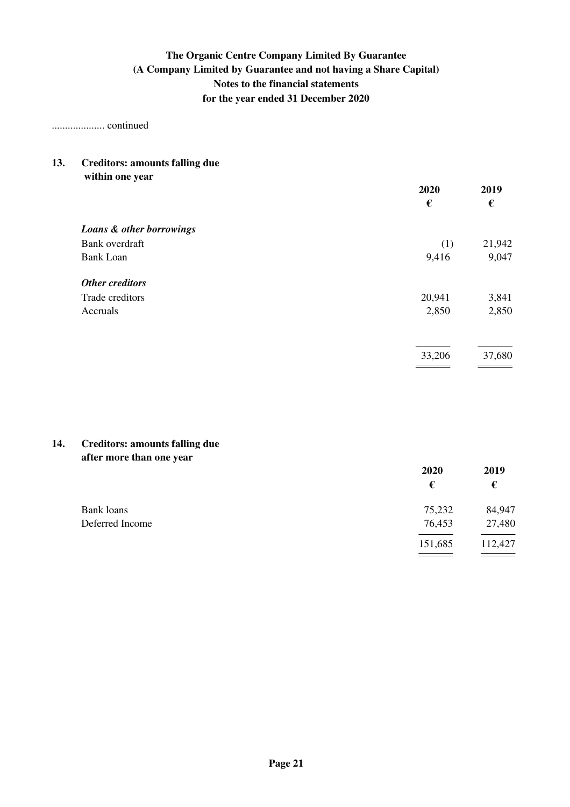.................... continued

#### **13. Creditors: amounts falling due within one year**

| within one year          | 2020<br>€ | 2019<br>€ |
|--------------------------|-----------|-----------|
| Loans & other borrowings |           |           |
| Bank overdraft           | (1)       | 21,942    |
| <b>Bank Loan</b>         | 9,416     | 9,047     |
| Other creditors          |           |           |
| Trade creditors          | 20,941    | 3,841     |
| Accruals                 | 2,850     | 2,850     |
|                          |           |           |
|                          | 33,206    | 37,680    |

## **14. Creditors: amounts falling due after more than one year**

|                 | 2020    | 2019    |
|-----------------|---------|---------|
|                 | €       | €       |
| Bank loans      | 75,232  | 84,947  |
| Deferred Income | 76,453  | 27,480  |
|                 | 151,685 | 112,427 |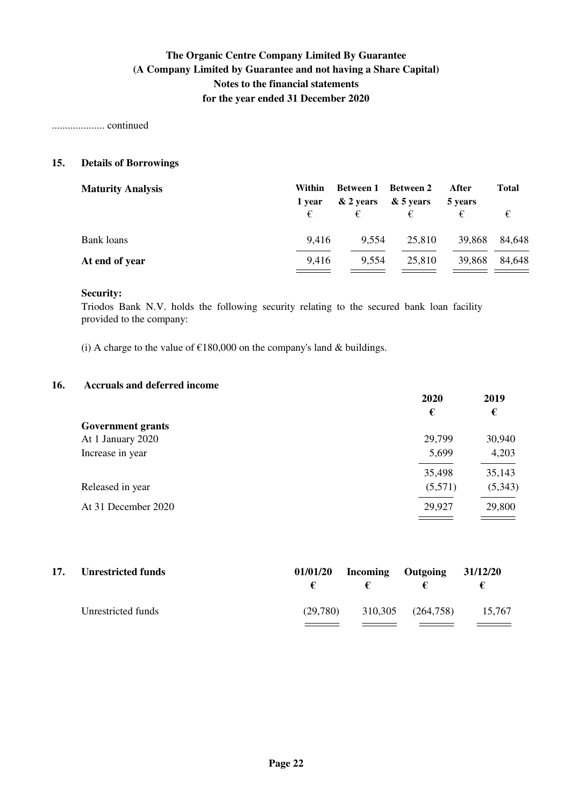.................... continued

## **15. Details of Borrowings**

| <b>Maturity Analysis</b> | Within | Between 1 | Between 2 | After   | <b>Total</b> |
|--------------------------|--------|-----------|-----------|---------|--------------|
|                          | 1 year | & 2 years | & 5 years | 5 years |              |
|                          | €      | €         |           |         |              |
| Bank loans               | 9,416  | 9,554     | 25,810    | 39,868  | 84,648       |
| At end of year           | 9,416  | 9,554     | 25,810    | 39,868  | 84,648       |
|                          |        |           |           |         |              |

### **Security:**

Triodos Bank N.V. holds the following security relating to the secured bank loan facility provided to the company:

(i) A charge to the value of  $£180,000$  on the company's land & buildings.

### **16. Accruals and deferred income**

|                          | 2020    | 2019    |
|--------------------------|---------|---------|
|                          | €       | €       |
| <b>Government grants</b> |         |         |
| At 1 January 2020        | 29,799  | 30,940  |
| Increase in year         | 5,699   | 4,203   |
|                          | 35,498  | 35,143  |
| Released in year         | (5,571) | (5,343) |
| At 31 December 2020      | 29,927  | 29,800  |
|                          |         |         |

| 17. | <b>Unrestricted funds</b> |          | $\mathbf{f}$ | $01/01/20$ Incoming Outgoing $31/12/20$<br>€ | €      |
|-----|---------------------------|----------|--------------|----------------------------------------------|--------|
|     | Unrestricted funds        | (29.780) |              | 310,305 (264,758)                            | 15,767 |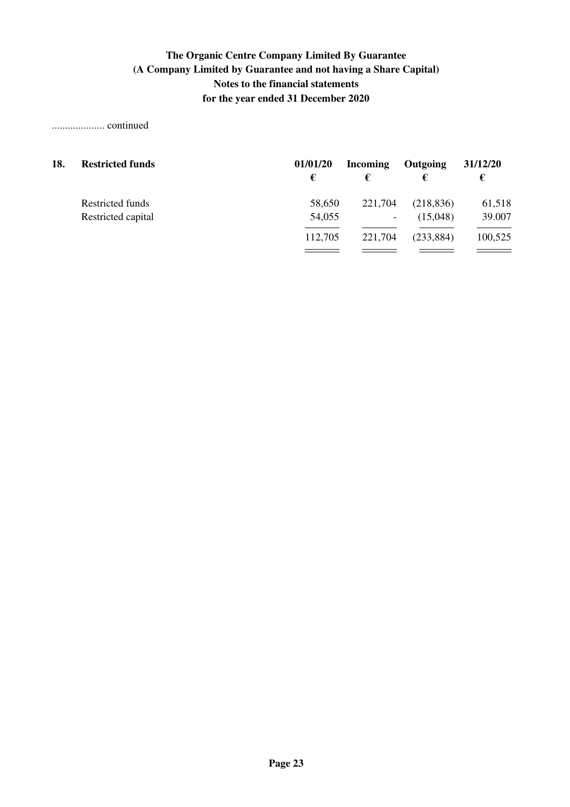## .................... continued

| 18. | <b>Restricted funds</b> | 01/01/20<br>€ | <b>Incoming</b> | Outgoing   | 31/12/20<br>€ |
|-----|-------------------------|---------------|-----------------|------------|---------------|
|     | Restricted funds        | 58,650        | 221,704         | (218, 836) | 61,518        |
|     | Restricted capital      | 54,055        | -               | (15,048)   | 39.007        |
|     |                         | 112,705       | 221,704         | (233, 884) | 100,525       |
|     |                         |               |                 |            |               |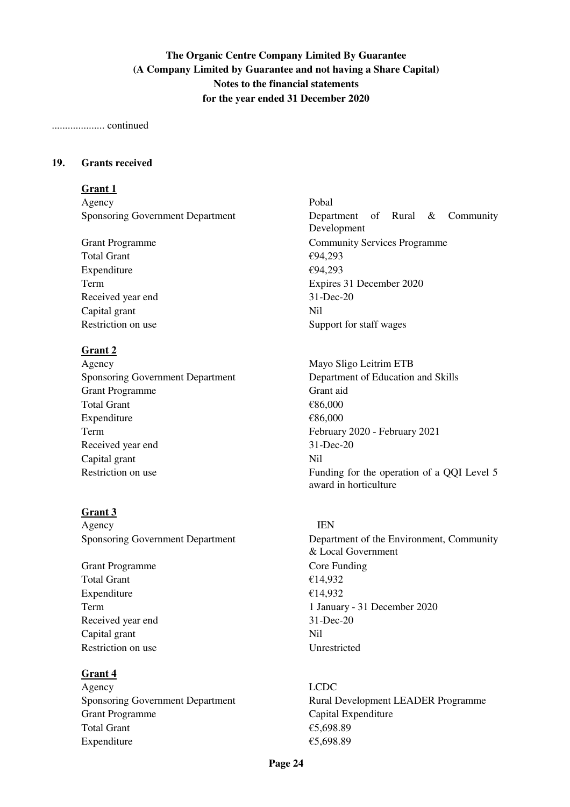### .................... continued

### **19. Grants received**

### **Grant 1**

Agency Pobal

Total Grant  $\epsilon$ 94,293 Expenditure  $\epsilon$ 94,293 Received year end 31-Dec-20 Capital grant Nil Restriction on use Support for staff wages

## **Grant 2**

Agency Mayo Sligo Leitrim ETB Sponsoring Government Department Department of Education and Skills Grant Programme Grant aid Total Grant  $\epsilon$ 86,000 Expenditure  $\epsilon$ 86,000 Term February 2020 - February 2021 Received year end 31-Dec-20 Capital grant Nil

### **Grant 3**

Agency **IEN** 

Grant Programme Core Funding Total Grant  $\epsilon$ 14,932 Expenditure  $\epsilon$ 14.932 Received year end 31-Dec-20 Capital grant Nil Restriction on use Unrestricted

### **Grant 4**

Agency LCDC Grant Programme Capital Expenditure Total Grant  $\epsilon$  5,698.89 Expenditure  $\epsilon$ 5.698.89

Sponsoring Government Department Devartment Department of Rural & Community Development Grant Programme Community Services Programme Term Expires 31 December 2020

Restriction on use Funding for the operation of a QQI Level 5 award in horticulture

Sponsoring Government Department 1 Department of the Environment, Community & Local Government Term 1 January - 31 December 2020

Sponsoring Government Department **Rural Development LEADER** Programme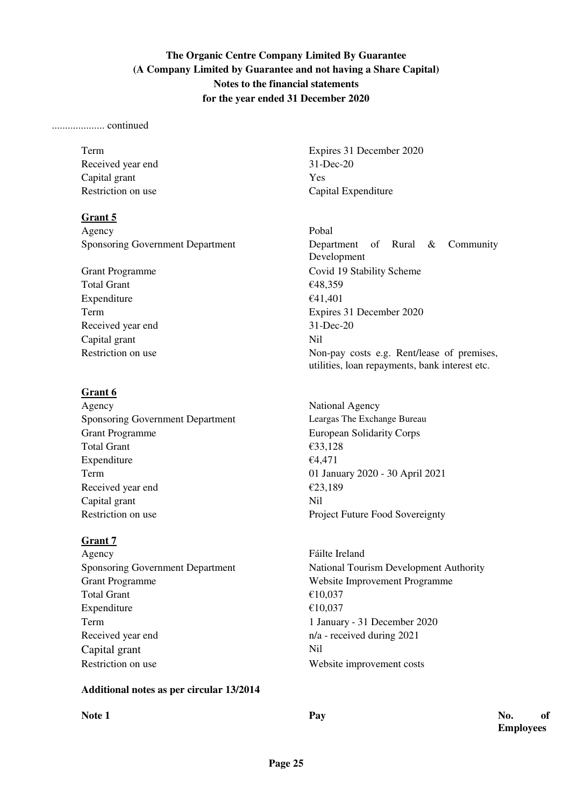## .................... continued

Received year end 31-Dec-20 Capital grant Yes

## **Grant 5**

Agency Pobal

Total Grant  $\epsilon$ 48,359 Expenditure  $\epsilon$ 41,401 Received year end 31-Dec-20 Capital grant Nil

## **Grant 6**

Agency National Agency Sponsoring Government Department Leargas The Exchange Bureau Grant Programme European Solidarity Corps Total Grant  $\epsilon$ 33,128 Expenditure  $\epsilon$ 4,471 Term 01 January 2020 - 30 April 2021 Received year end  $\epsilon$ 23,189 Capital grant Nil Restriction on use Project Future Food Sovereignty

## **Grant 7**

Agency Fáilte Ireland Grant Programme Website Improvement Programme Total Grant  $\epsilon$  10.037 Expenditure  $\epsilon$  10.037 Term 1 January - 31 December 2020 Received year end n/a - received during 2021 Capital grant Nil Restriction on use Website improvement costs

## **Additional notes as per circular 13/2014**

Term Expires 31 December 2020 Restriction on use Capital Expenditure

Sponsoring Government Department Development Department of Rural & Community Development Grant Programme Covid 19 Stability Scheme Term Expires 31 December 2020 Restriction on use Non-pay costs e.g. Rent/lease of premises, utilities, loan repayments, bank interest etc.

Sponsoring Government Department National Tourism Development Authority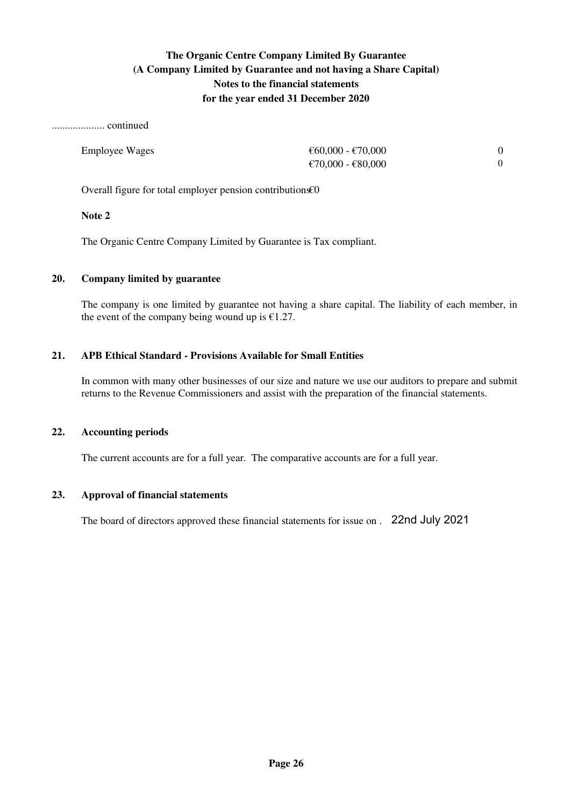.................... continued

| <b>Employee Wages</b> | €60,000 - €70,000 |  |
|-----------------------|-------------------|--|
|                       | €70,000 - €80,000 |  |

Overall figure for total employer pension contributions€0

## **Note 2**

The Organic Centre Company Limited by Guarantee is Tax compliant.

## **20. Company limited by guarantee**

The company is one limited by guarantee not having a share capital. The liability of each member, in the event of the company being wound up is  $£1.27$ .

## **21. APB Ethical Standard - Provisions Available for Small Entities**

In common with many other businesses of our size and nature we use our auditors to prepare and submit returns to the Revenue Commissioners and assist with the preparation of the financial statements.

### **22. Accounting periods**

The current accounts are for a full year. The comparative accounts are for a full year.

### **23. Approval of financial statements**

The board of directors approved these financial statements for issue on . 22nd July 2021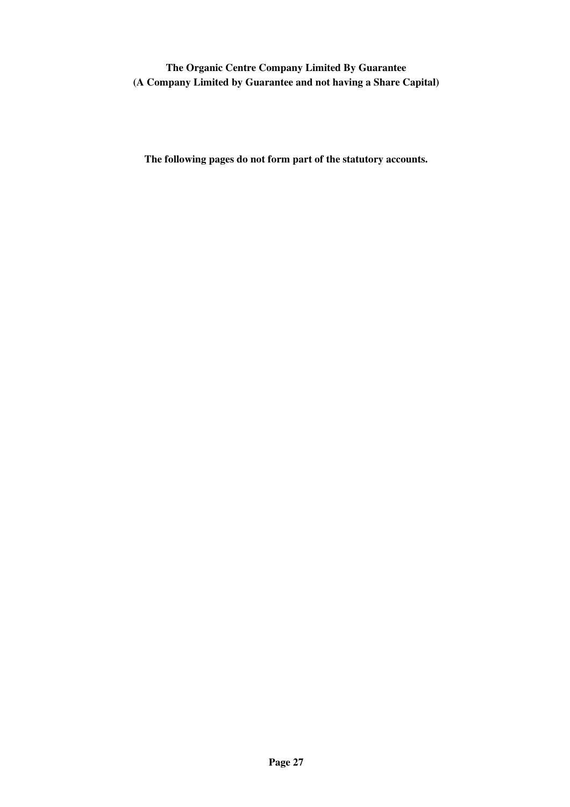**The Organic Centre Company Limited By Guarantee (A Company Limited by Guarantee and not having a Share Capital)**

**The following pages do not form part of the statutory accounts.**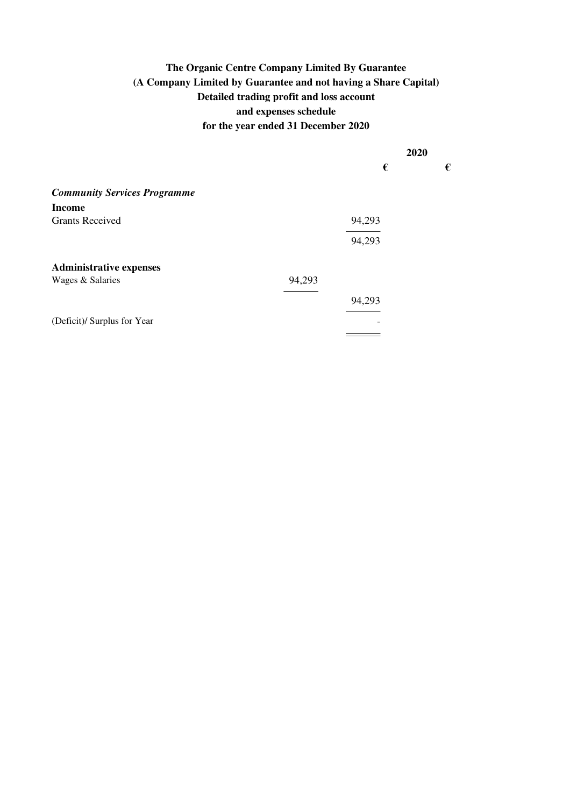**€ €**

|                                     |        | 2020   |
|-------------------------------------|--------|--------|
|                                     |        | €      |
| <b>Community Services Programme</b> |        |        |
| <b>Income</b>                       |        |        |
| <b>Grants Received</b>              |        | 94,293 |
|                                     |        | 94,293 |
| <b>Administrative expenses</b>      |        |        |
| Wages & Salaries                    | 94,293 |        |
|                                     |        | 94,293 |
| (Deficit)/ Surplus for Year         |        | ۰      |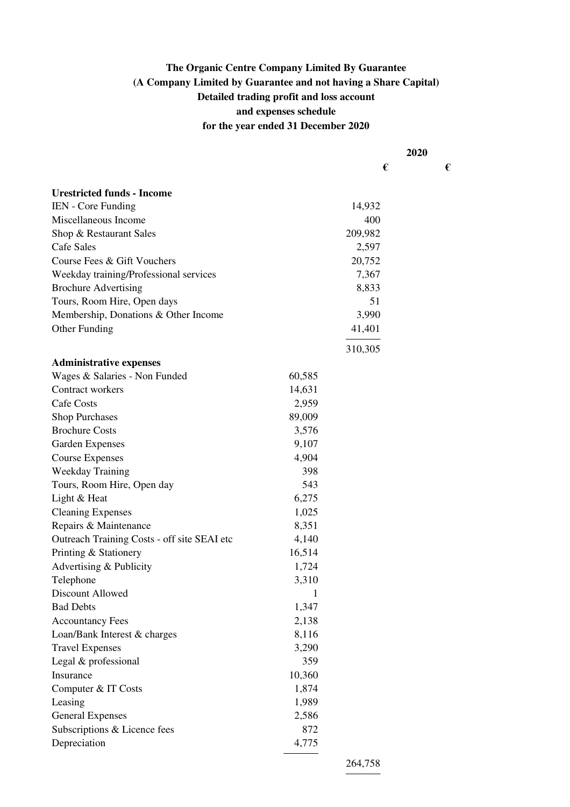|                                             |        | 2020    |  |   |
|---------------------------------------------|--------|---------|--|---|
|                                             |        | €       |  | € |
| <b>Urestricted funds - Income</b>           |        |         |  |   |
| IEN - Core Funding                          |        | 14,932  |  |   |
| Miscellaneous Income                        |        | 400     |  |   |
| Shop & Restaurant Sales                     |        | 209,982 |  |   |
| Cafe Sales                                  |        | 2,597   |  |   |
| Course Fees & Gift Vouchers                 |        | 20,752  |  |   |
| Weekday training/Professional services      |        | 7,367   |  |   |
| <b>Brochure Advertising</b>                 |        | 8,833   |  |   |
| Tours, Room Hire, Open days                 |        | 51      |  |   |
| Membership, Donations & Other Income        |        | 3,990   |  |   |
| Other Funding                               |        | 41,401  |  |   |
|                                             |        | 310,305 |  |   |
| <b>Administrative expenses</b>              |        |         |  |   |
| Wages & Salaries - Non Funded               | 60,585 |         |  |   |
| Contract workers                            | 14,631 |         |  |   |
| Cafe Costs                                  | 2,959  |         |  |   |
| <b>Shop Purchases</b>                       | 89,009 |         |  |   |
| <b>Brochure Costs</b>                       | 3,576  |         |  |   |
| <b>Garden Expenses</b>                      | 9,107  |         |  |   |
| <b>Course Expenses</b>                      | 4,904  |         |  |   |
| <b>Weekday Training</b>                     | 398    |         |  |   |
| Tours, Room Hire, Open day                  | 543    |         |  |   |
| Light & Heat                                | 6,275  |         |  |   |
| <b>Cleaning Expenses</b>                    | 1,025  |         |  |   |
| Repairs & Maintenance                       | 8,351  |         |  |   |
| Outreach Training Costs - off site SEAI etc | 4,140  |         |  |   |
| Printing & Stationery                       | 16,514 |         |  |   |
| Advertising & Publicity                     | 1,724  |         |  |   |
| Telephone                                   | 3,310  |         |  |   |
| Discount Allowed                            | 1      |         |  |   |
| <b>Bad Debts</b>                            | 1,347  |         |  |   |
| <b>Accountancy Fees</b>                     | 2,138  |         |  |   |
| Loan/Bank Interest & charges                | 8,116  |         |  |   |
| <b>Travel Expenses</b>                      | 3,290  |         |  |   |
| Legal & professional                        | 359    |         |  |   |
| Insurance                                   | 10,360 |         |  |   |
| Computer & IT Costs                         | 1,874  |         |  |   |
| Leasing                                     | 1,989  |         |  |   |
| <b>General Expenses</b>                     | 2,586  |         |  |   |
| Subscriptions & Licence fees                | 872    |         |  |   |
| Depreciation                                | 4,775  |         |  |   |
|                                             |        |         |  |   |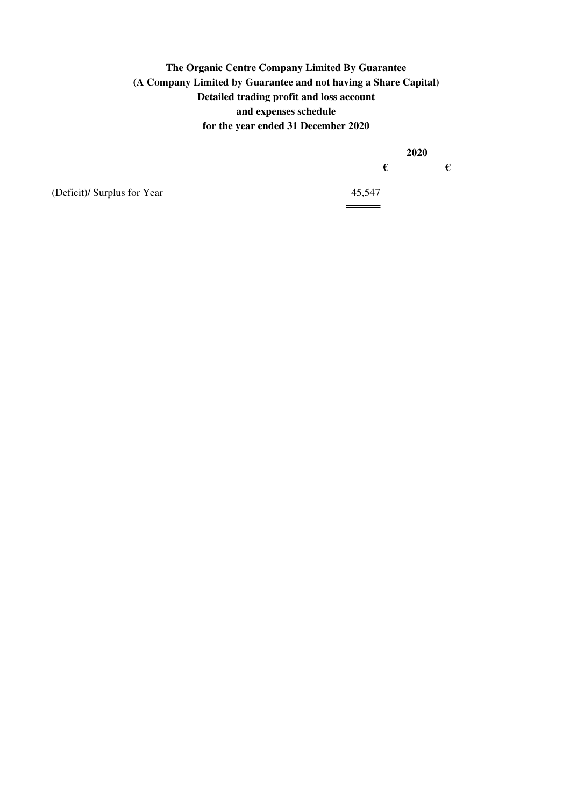**2020**

**€ €**

(Deficit)/ Surplus for Year 45,547

 $\frac{1}{\sqrt{1-\frac{1}{2}}\left(1-\frac{1}{2}\right)}\left(1-\frac{1}{2}\right)$